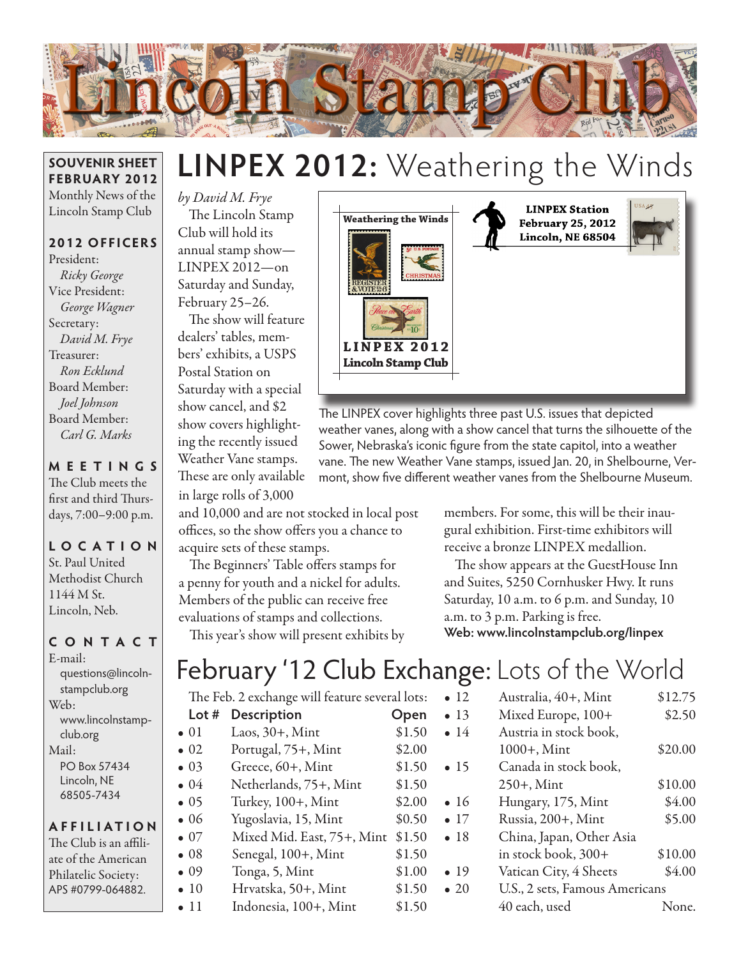

#### **SOUVENIR SHEET FEBRUARY 2012** Monthly News of the Lincoln Stamp Club

**2012 OFFICERS**

President: *Ricky George* Vice President: *George Wagner* Secretary: *David M. Frye* Treasurer: *Ron Ecklund* Board Member: *Joel Johnson* Board Member: *Carl G. Marks*

**MEETINGS** The Club meets the first and third Thurs-

days, 7:00–9:00 p.m.

## **LO C ATI O N** St. Paul United Methodist Church

1144 M St. Lincoln, Neb.

### **CONTACT**

E-mail: questions@lincolnstampclub.org Web: www.lincolnstampclub.org Mail: PO Box 57434 Lincoln, NE 68505-7434

#### **AFFI LIATI O N**

The Club is an affiliate of the American Philatelic Society: APS #0799-064882.

# **LINPEX 2012:** Weathering the Winds

*by David M. Frye* The Lincoln Stamp Club will hold its annual stamp show— LINPEX 2012—on Saturday and Sunday, February 25–26.

The show will feature dealers' tables, members' exhibits, a USPS Postal Station on Saturday with a special show cancel, and \$2 show covers highlighting the recently issued Weather Vane stamps. These are only available

in large rolls of 3,000

and 10,000 and are not stocked in local post offices, so the show offers you a chance to acquire sets of these stamps.

The Beginners' Table offers stamps for a penny for youth and a nickel for adults. Members of the public can receive free evaluations of stamps and collections.

This year's show will present exhibits by



The LINPEX cover highlights three past U.S. issues that depicted weather vanes, along with a show cancel that turns the silhouette of the Sower, Nebraska's iconic figure from the state capitol, into a weather vane. The new Weather Vane stamps, issued Jan. 20, in Shelbourne, Vermont, show five different weather vanes from the Shelbourne Museum.

> members. For some, this will be their inaugural exhibition. First-time exhibitors will receive a bronze LINPEX medallion.

The show appears at the GuestHouse Inn and Suites, 5250 Cornhusker Hwy. It runs Saturday, 10 a.m. to 6 p.m. and Sunday, 10 a.m. to 3 p.m. Parking is free. **Web: www.lincolnstampclub.org/linpex**

## February '12 Club Exchange: Lots of the World

| The Feb. 2 exchange will feature several lots: |                            |        |
|------------------------------------------------|----------------------------|--------|
| Lot #                                          | <b>Description</b>         | Open   |
| $\bullet$ 01                                   | Laos, $30+$ , Mint         | \$1.50 |
| $\bullet$ 02                                   | Portugal, 75+, Mint        | \$2.00 |
| $\bullet$ 03                                   | Greece, 60+, Mint          | \$1.50 |
| $\bullet$ 04                                   | Netherlands, 75+, Mint     | \$1.50 |
| $\bullet$ 05                                   | Turkey, 100+, Mint         | \$2.00 |
| $\bullet$ 06                                   | Yugoslavia, 15, Mint       | \$0.50 |
| $\bullet$ 07                                   | Mixed Mid. East, 75+, Mint | \$1.50 |
| $\bullet$ 08                                   | Senegal, 100+, Mint        | \$1.50 |
| $\bullet$ 09                                   | Tonga, 5, Mint             | \$1.00 |
| $\bullet$ 10                                   | Hrvatska, 50+, Mint        | \$1.50 |

- 10 Hrvatska, 50+, Mint \$1.50
- 11 Indonesia,  $100+$ , Mint  $$1.50$

| $\bullet$ 12  | Australia, 40+, Mint           | \$12.75 |  |
|---------------|--------------------------------|---------|--|
| $\bullet$ 13  | Mixed Europe, 100+             | \$2.50  |  |
| $\bullet\ 14$ | Austria in stock book,         |         |  |
|               | 1000+, Mint                    | \$20.00 |  |
| $\bullet$ 15  | Canada in stock book,          |         |  |
|               | $250+$ , Mint                  | \$10.00 |  |
| $\bullet$ 16  | Hungary, 175, Mint             | \$4.00  |  |
| $\bullet$ 17  | Russia, 200+, Mint             | \$5.00  |  |
| •18           | China, Japan, Other Asia       |         |  |
|               | in stock book, 300+            | \$10.00 |  |
| $\bullet$ 19  | Vatican City, 4 Sheets         | \$4.00  |  |
| $\bullet$ 20  | U.S., 2 sets, Famous Americans |         |  |
|               | 40 each, used                  | None.   |  |
|               |                                |         |  |